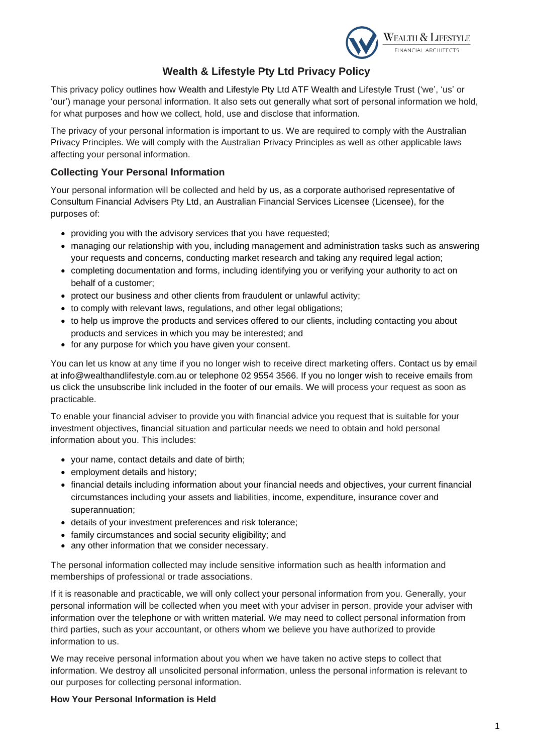

# **Wealth & Lifestyle Pty Ltd Privacy Policy**

This privacy policy outlines how Wealth and Lifestyle Pty Ltd ATF Wealth and Lifestyle Trust ('we', 'us' or 'our') manage your personal information. It also sets out generally what sort of personal information we hold, for what purposes and how we collect, hold, use and disclose that information.

The privacy of your personal information is important to us. We are required to comply with the Australian Privacy Principles. We will comply with the Australian Privacy Principles as well as other applicable laws affecting your personal information.

# **Collecting Your Personal Information**

Your personal information will be collected and held by us, as a corporate authorised representative of Consultum Financial Advisers Pty Ltd, an Australian Financial Services Licensee (Licensee), for the purposes of:

- providing you with the advisory services that you have requested;
- managing our relationship with you, including management and administration tasks such as answering your requests and concerns, conducting market research and taking any required legal action;
- completing documentation and forms, including identifying you or verifying your authority to act on behalf of a customer;
- protect our business and other clients from fraudulent or unlawful activity;
- to comply with relevant laws, regulations, and other legal obligations;
- to help us improve the products and services offered to our clients, including contacting you about products and services in which you may be interested; and
- for any purpose for which you have given your consent.

You can let us know at any time if you no longer wish to receive direct marketing offers. Contact us by email at info@wealthandlifestyle.com.au or telephone 02 9554 3566. If you no longer wish to receive emails from us click the unsubscribe link included in the footer of our emails. We will process your request as soon as practicable.

To enable your financial adviser to provide you with financial advice you request that is suitable for your investment objectives, financial situation and particular needs we need to obtain and hold personal information about you. This includes:

- your name, contact details and date of birth;
- employment details and history;
- financial details including information about your financial needs and objectives, your current financial circumstances including your assets and liabilities, income, expenditure, insurance cover and superannuation;
- details of your investment preferences and risk tolerance;
- family circumstances and social security eligibility; and
- any other information that we consider necessary.

The personal information collected may include sensitive information such as health information and memberships of professional or trade associations.

If it is reasonable and practicable, we will only collect your personal information from you. Generally, your personal information will be collected when you meet with your adviser in person, provide your adviser with information over the telephone or with written material. We may need to collect personal information from third parties, such as your accountant, or others whom we believe you have authorized to provide information to us.

We may receive personal information about you when we have taken no active steps to collect that information. We destroy all unsolicited personal information, unless the personal information is relevant to our purposes for collecting personal information.

## **How Your Personal Information is Held**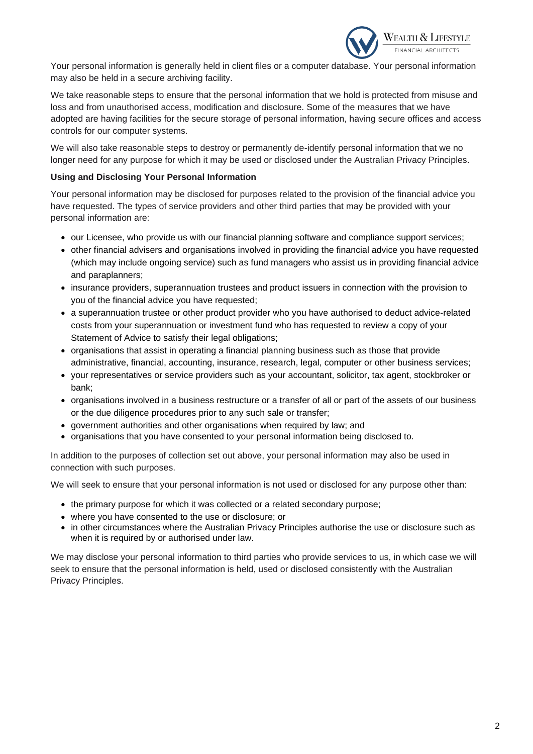

Your personal information is generally held in client files or a computer database. Your personal information may also be held in a secure archiving facility.

We take reasonable steps to ensure that the personal information that we hold is protected from misuse and loss and from unauthorised access, modification and disclosure. Some of the measures that we have adopted are having facilities for the secure storage of personal information, having secure offices and access controls for our computer systems.

We will also take reasonable steps to destroy or permanently de-identify personal information that we no longer need for any purpose for which it may be used or disclosed under the Australian Privacy Principles.

## **Using and Disclosing Your Personal Information**

Your personal information may be disclosed for purposes related to the provision of the financial advice you have requested. The types of service providers and other third parties that may be provided with your personal information are:

- our Licensee, who provide us with our financial planning software and compliance support services;
- other financial advisers and organisations involved in providing the financial advice you have requested (which may include ongoing service) such as fund managers who assist us in providing financial advice and paraplanners;
- insurance providers, superannuation trustees and product issuers in connection with the provision to you of the financial advice you have requested;
- a superannuation trustee or other product provider who you have authorised to deduct advice-related costs from your superannuation or investment fund who has requested to review a copy of your Statement of Advice to satisfy their legal obligations;
- organisations that assist in operating a financial planning business such as those that provide administrative, financial, accounting, insurance, research, legal, computer or other business services;
- your representatives or service providers such as your accountant, solicitor, tax agent, stockbroker or bank;
- organisations involved in a business restructure or a transfer of all or part of the assets of our business or the due diligence procedures prior to any such sale or transfer;
- government authorities and other organisations when required by law; and
- organisations that you have consented to your personal information being disclosed to.

In addition to the purposes of collection set out above, your personal information may also be used in connection with such purposes.

We will seek to ensure that your personal information is not used or disclosed for any purpose other than:

- the primary purpose for which it was collected or a related secondary purpose;
- where you have consented to the use or disclosure; or
- in other circumstances where the Australian Privacy Principles authorise the use or disclosure such as when it is required by or authorised under law.

We may disclose your personal information to third parties who provide services to us, in which case we will seek to ensure that the personal information is held, used or disclosed consistently with the Australian Privacy Principles.